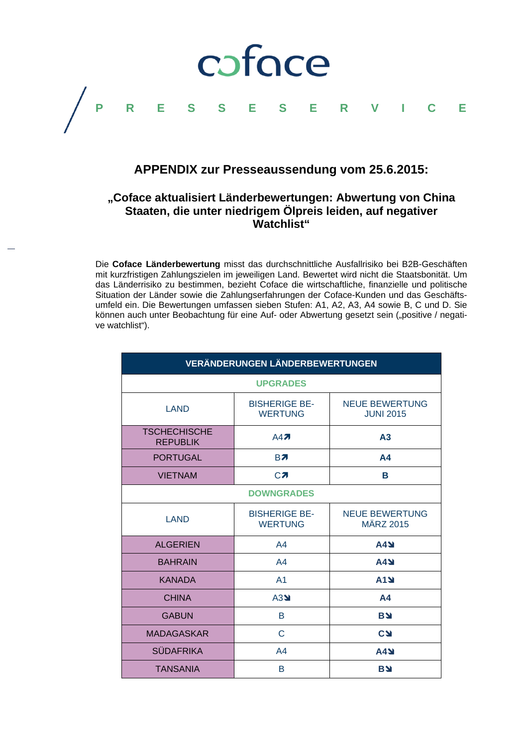

## **APPENDIX zur Presseaussendung vom 25.6.2015:**

### **"Coface aktualisiert Länderbewertungen: Abwertung von China Staaten, die unter niedrigem Ölpreis leiden, auf negativer Watchlist"**

Die **Coface Länderbewertung** misst das durchschnittliche Ausfallrisiko bei B2B-Geschäften mit kurzfristigen Zahlungszielen im jeweiligen Land. Bewertet wird nicht die Staatsbonität. Um das Länderrisiko zu bestimmen, bezieht Coface die wirtschaftliche, finanzielle und politische Situation der Länder sowie die Zahlungserfahrungen der Coface-Kunden und das Geschäftsumfeld ein. Die Bewertungen umfassen sieben Stufen: A1, A2, A3, A4 sowie B, C und D. Sie können auch unter Beobachtung für eine Auf- oder Abwertung gesetzt sein ("positive / negative watchlist").

| VERÄNDERUNGEN LÄNDERBEWERTUNGEN        |                                        |                                           |
|----------------------------------------|----------------------------------------|-------------------------------------------|
| <b>UPGRADES</b>                        |                                        |                                           |
| LAND                                   | <b>BISHERIGE BE-</b><br><b>WERTUNG</b> | <b>NEUE BEWERTUNG</b><br><b>JUNI 2015</b> |
| <b>TSCHECHISCHE</b><br><b>REPUBLIK</b> | A47                                    | A <sub>3</sub>                            |
| <b>PORTUGAL</b>                        | <b>B</b> <sub>7</sub>                  | A <sub>4</sub>                            |
| <b>VIETNAM</b>                         | CZ                                     | B                                         |
| <b>DOWNGRADES</b>                      |                                        |                                           |
| LAND                                   | <b>BISHERIGE BE-</b><br><b>WERTUNG</b> | <b>NEUE BEWERTUNG</b><br><b>MÄRZ 2015</b> |
| <b>ALGERIEN</b>                        | A4                                     | A4N                                       |
| <b>BAHRAIN</b>                         | A <sub>4</sub>                         | <b>A4Y</b>                                |
| <b>KANADA</b>                          | A <sub>1</sub>                         | <b>A1N</b>                                |
| <b>CHINA</b>                           | A3                                     | A <sub>4</sub>                            |
| <b>GABUN</b>                           | B                                      | <b>BY</b>                                 |
| <b>MADAGASKAR</b>                      | C                                      | <b>CSI</b>                                |
| <b>SÜDAFRIKA</b>                       | A <sub>4</sub>                         | <b>A4Y</b>                                |
| <b>TANSANIA</b>                        | B                                      | <b>BY</b>                                 |